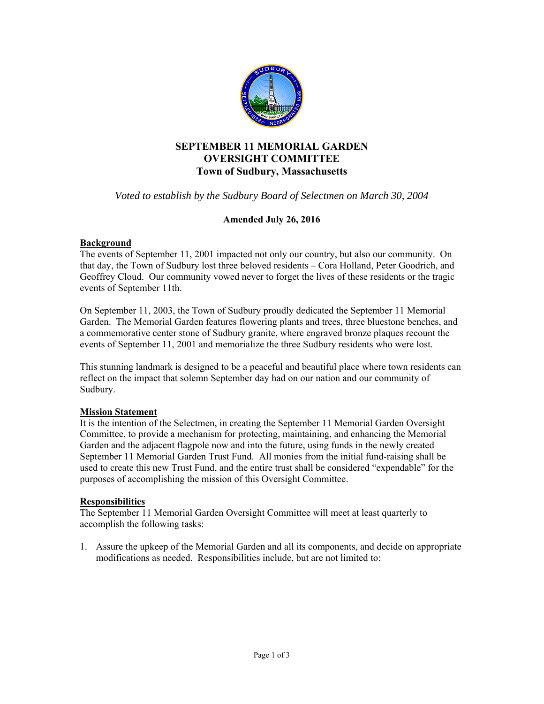

# **SEPTEMBER 11 MEMORIAL GARDEN OVERSIGHT COMMITTEE Town of Sudbury, Massachusetts**

*Voted to establish by the Sudbury Board of Selectmen on March 30, 2004* 

# **Amended July 26, 2016**

### **Background**

The events of September 11, 2001 impacted not only our country, but also our community. On that day, the Town of Sudbury lost three beloved residents – Cora Holland, Peter Goodrich, and Geoffrey Cloud. Our community vowed never to forget the lives of these residents or the tragic events of September 11th.

On September 11, 2003, the Town of Sudbury proudly dedicated the September 11 Memorial Garden. The Memorial Garden features flowering plants and trees, three bluestone benches, and a commemorative center stone of Sudbury granite, where engraved bronze plaques recount the events of September 11, 2001 and memorialize the three Sudbury residents who were lost.

This stunning landmark is designed to be a peaceful and beautiful place where town residents can reflect on the impact that solemn September day had on our nation and our community of Sudbury.

# **Mission Statement**

It is the intention of the Selectmen, in creating the September 11 Memorial Garden Oversight Committee, to provide a mechanism for protecting, maintaining, and enhancing the Memorial Garden and the adjacent flagpole now and into the future, using funds in the newly created September 11 Memorial Garden Trust Fund. All monies from the initial fund-raising shall be used to create this new Trust Fund, and the entire trust shall be considered "expendable" for the purposes of accomplishing the mission of this Oversight Committee.

#### **Responsibilities**

The September 11 Memorial Garden Oversight Committee will meet at least quarterly to accomplish the following tasks:

1. Assure the upkeep of the Memorial Garden and all its components, and decide on appropriate modifications as needed. Responsibilities include, but are not limited to: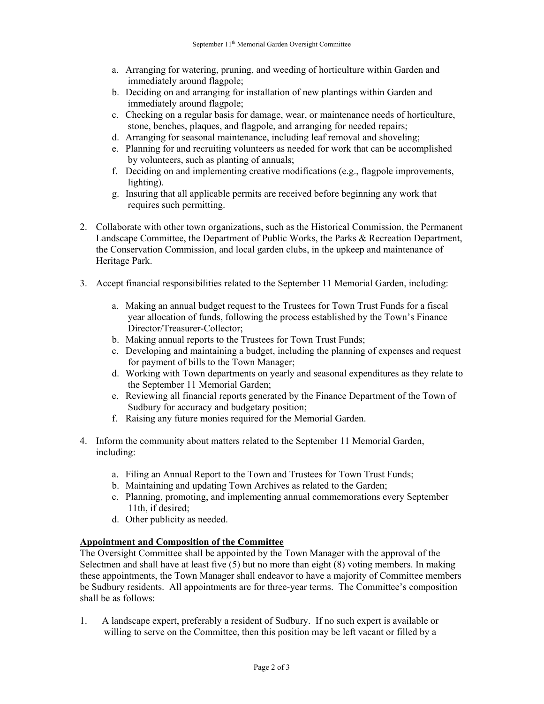- a. Arranging for watering, pruning, and weeding of horticulture within Garden and immediately around flagpole;
- b. Deciding on and arranging for installation of new plantings within Garden and immediately around flagpole;
- c. Checking on a regular basis for damage, wear, or maintenance needs of horticulture, stone, benches, plaques, and flagpole, and arranging for needed repairs;
- d. Arranging for seasonal maintenance, including leaf removal and shoveling;
- e. Planning for and recruiting volunteers as needed for work that can be accomplished by volunteers, such as planting of annuals;
- f. Deciding on and implementing creative modifications (e.g., flagpole improvements, lighting).
- g. Insuring that all applicable permits are received before beginning any work that requires such permitting.
- 2. Collaborate with other town organizations, such as the Historical Commission, the Permanent Landscape Committee, the Department of Public Works, the Parks & Recreation Department, the Conservation Commission, and local garden clubs, in the upkeep and maintenance of Heritage Park.
- 3. Accept financial responsibilities related to the September 11 Memorial Garden, including:
	- a. Making an annual budget request to the Trustees for Town Trust Funds for a fiscal year allocation of funds, following the process established by the Town's Finance Director/Treasurer-Collector;
	- b. Making annual reports to the Trustees for Town Trust Funds;
	- c. Developing and maintaining a budget, including the planning of expenses and request for payment of bills to the Town Manager;
	- d. Working with Town departments on yearly and seasonal expenditures as they relate to the September 11 Memorial Garden;
	- e. Reviewing all financial reports generated by the Finance Department of the Town of Sudbury for accuracy and budgetary position;
	- f. Raising any future monies required for the Memorial Garden.
- 4. Inform the community about matters related to the September 11 Memorial Garden, including:
	- a. Filing an Annual Report to the Town and Trustees for Town Trust Funds;
	- b. Maintaining and updating Town Archives as related to the Garden;
	- c. Planning, promoting, and implementing annual commemorations every September 11th, if desired;
	- d. Other publicity as needed.

# **Appointment and Composition of the Committee**

The Oversight Committee shall be appointed by the Town Manager with the approval of the Selectmen and shall have at least five (5) but no more than eight (8) voting members. In making these appointments, the Town Manager shall endeavor to have a majority of Committee members be Sudbury residents. All appointments are for three-year terms. The Committee's composition shall be as follows:

1. A landscape expert, preferably a resident of Sudbury. If no such expert is available or willing to serve on the Committee, then this position may be left vacant or filled by a